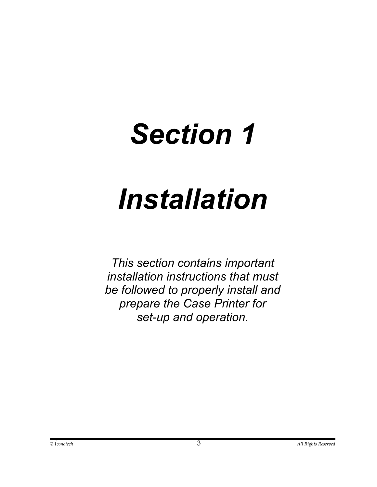# *Section 1*

# *Installation*

*This section contains important installation instructions that must be followed to properly install and prepare the Case Printer for set-up and operation.*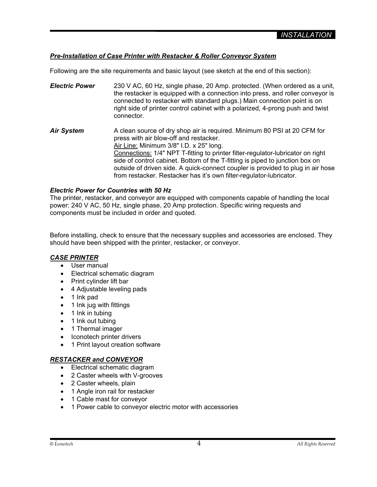## *Pre-Installation of Case Printer with Restacker & Roller Conveyor System*

Following are the site requirements and basic layout (see sketch at the end of this section):

- *Electric Power* 230 V AC, 60 Hz, single phase, 20 Amp. protected. (When ordered as a unit, the restacker is equipped with a connection into press, and roller conveyor is connected to restacker with standard plugs.) Main connection point is on right side of printer control cabinet with a polarized, 4-prong push and twist connector.
- *Air System* A clean source of dry shop air is required. Minimum 80 PSI at 20 CFM for press with air blow-off and restacker. Air Line: Minimum 3/8" I.D. x 25" long. Connections: 1/4" NPT T-fitting to printer filter-regulator-lubricator on right side of control cabinet. Bottom of the T-fitting is piped to junction box on outside of driven side. A quick-connect coupler is provided to plug in air hose from restacker. Restacker has it's own filter-regulator-lubricator.

### *Electric Power for Countries with 50 Hz*

The printer, restacker, and conveyor are equipped with components capable of handling the local power: 240 V AC, 50 Hz, single phase, 20 Amp protection. Specific wiring requests and components must be included in order and quoted.

Before installing, check to ensure that the necessary supplies and accessories are enclosed. They should have been shipped with the printer, restacker, or conveyor.

#### *CASE PRINTER*

- User manual
- Electrical schematic diagram
- $\bullet$  Print cylinder lift bar
- 4 Adjustable leveling pads
- $\bullet$  1 Ink pad
- 1 Ink jug with fittings
- 1 Ink in tubing
- 1 Ink out tubing
- 1 Thermal imager
- Iconotech printer drivers
- 1 Print layout creation software

### *RESTACKER and CONVEYOR*

- Electrical schematic diagram
- 2 Caster wheels with V-grooves
- $\bullet$  2 Caster wheels, plain
- 1 Angle iron rail for restacker
- 1 Cable mast for conveyor
- 1 Power cable to conveyor electric motor with accessories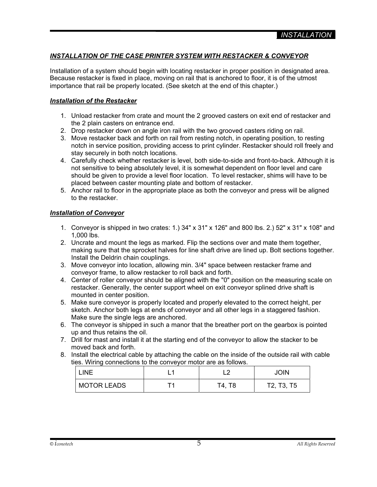## *INSTALLATION OF THE CASE PRINTER SYSTEM WITH RESTACKER & CONVEYOR*

Installation of a system should begin with locating restacker in proper position in designated area. Because restacker is fixed in place, moving on rail that is anchored to floor, it is of the utmost importance that rail be properly located. (See sketch at the end of this chapter.)

#### *Installation of the Restacker*

- 1. Unload restacker from crate and mount the 2 grooved casters on exit end of restacker and the 2 plain casters on entrance end.
- 2. Drop restacker down on angle iron rail with the two grooved casters riding on rail.
- 3. Move restacker back and forth on rail from resting notch, in operating position, to resting notch in service position, providing access to print cylinder. Restacker should roll freely and stay securely in both notch locations.
- 4. Carefully check whether restacker is level, both side-to-side and front-to-back. Although it is not sensitive to being absolutely level, it is somewhat dependent on floor level and care should be given to provide a level floor location. To level restacker, shims will have to be placed between caster mounting plate and bottom of restacker.
- 5. Anchor rail to floor in the appropriate place as both the conveyor and press will be aligned to the restacker.

#### *Installation of Conveyor*

- 1. Conveyor is shipped in two crates: 1.) 34" x 31" x 126" and 800 lbs. 2.) 52" x 31" x 108" and 1,000 lbs.
- 2. Uncrate and mount the legs as marked. Flip the sections over and mate them together, making sure that the sprocket halves for line shaft drive are lined up. Bolt sections together. Install the Deldrin chain couplings.
- 3. Move conveyor into location, allowing min. 3/4" space between restacker frame and conveyor frame, to allow restacker to roll back and forth.
- 4. Center of roller conveyor should be aligned with the "0" position on the measuring scale on restacker. Generally, the center support wheel on exit conveyor splined drive shaft is mounted in center position.
- 5. Make sure conveyor is properly located and properly elevated to the correct height, per sketch. Anchor both legs at ends of conveyor and all other legs in a staggered fashion. Make sure the single legs are anchored.
- 6. The conveyor is shipped in such a manor that the breather port on the gearbox is pointed up and thus retains the oil.
- 7. Drill for mast and install it at the starting end of the conveyor to allow the stacker to be moved back and forth.
- 8. Install the electrical cable by attaching the cable on the inside of the outside rail with cable ties. Wiring connections to the conveyor motor are as follows.

| <b>LINE</b>        | $\overline{ }$ | <b>JOIN</b>                                      |
|--------------------|----------------|--------------------------------------------------|
| <b>MOTOR LEADS</b> | T4, T8         | T <sub>2</sub> , T <sub>3</sub> , T <sub>5</sub> |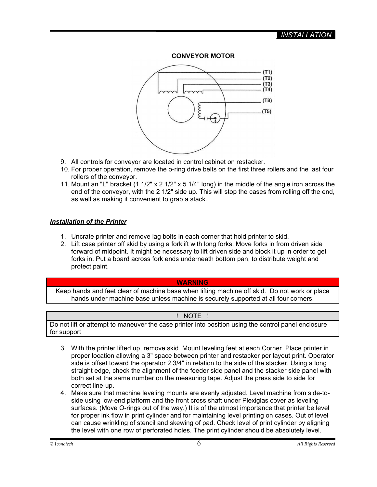### **CONVEYOR MOTOR**



- 9. All controls for conveyor are located in control cabinet on restacker.
- 10. For proper operation, remove the o-ring drive belts on the first three rollers and the last four rollers of the conveyor.
- 11. Mount an "L" bracket (1 1/2" x 2 1/2" x 5 1/4" long) in the middle of the angle iron across the end of the conveyor, with the 2 1/2" side up. This will stop the cases from rolling off the end, as well as making it convenient to grab a stack.

### *Installation of the Printer*

- 1. Uncrate printer and remove lag bolts in each corner that hold printer to skid.
- 2. Lift case printer off skid by using a forklift with long forks. Move forks in from driven side forward of midpoint. It might be necessary to lift driven side and block it up in order to get forks in. Put a board across fork ends underneath bottom pan, to distribute weight and protect paint.

#### **WARNING**

Keep hands and feet clear of machine base when lifting machine off skid. Do not work or place hands under machine base unless machine is securely supported at all four corners.

#### ! NOTE !

Do not lift or attempt to maneuver the case printer into position using the control panel enclosure for support

- 3. With the printer lifted up, remove skid. Mount leveling feet at each Corner. Place printer in proper location allowing a 3" space between printer and restacker per layout print. Operator side is offset toward the operator 2 3/4" in relation to the side of the stacker. Using a long straight edge, check the alignment of the feeder side panel and the stacker side panel with both set at the same number on the measuring tape. Adjust the press side to side for correct line-up.
- 4. Make sure that machine leveling mounts are evenly adjusted. Level machine from side-toside using low-end platform and the front cross shaft under Plexiglas cover as leveling surfaces. (Move O-rings out of the way.) It is of the utmost importance that printer be level for proper ink flow in print cylinder and for maintaining level printing on cases. Out of level can cause wrinkling of stencil and skewing of pad. Check level of print cylinder by aligning the level with one row of perforated holes. The print cylinder should be absolutely level.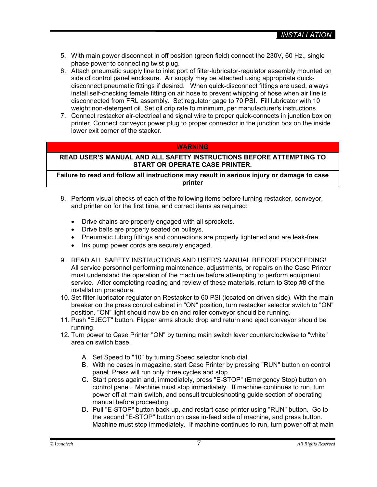- 5. With main power disconnect in off position (green field) connect the 230V, 60 Hz., single phase power to connecting twist plug.
- 6. Attach pneumatic supply line to inlet port of filter-lubricator-regulator assembly mounted on side of control panel enclosure. Air supply may be attached using appropriate quickdisconnect pneumatic fittings if desired. When quick-disconnect fittings are used, always install self-checking female fitting on air hose to prevent whipping of hose when air line is disconnected from FRL assembly. Set regulator gage to 70 PSI. Fill lubricator with 10 weight non-detergent oil. Set oil drip rate to minimum, per manufacturer's instructions.
- 7. Connect restacker air-electrical and signal wire to proper quick-connects in junction box on printer. Connect conveyor power plug to proper connector in the junction box on the inside lower exit corner of the stacker.

### **WARNING**

#### **READ USER'S MANUAL AND ALL SAFETY INSTRUCTIONS BEFORE ATTEMPTING TO START OR OPERATE CASE PRINTER.**

**Failure to read and follow all instructions may result in serious injury or damage to case printer** 

- 8. Perform visual checks of each of the following items before turning restacker, conveyor, and printer on for the first time, and correct items as required:
	- Drive chains are properly engaged with all sprockets.
	- Drive belts are properly seated on pulleys.
	- Pneumatic tubing fittings and connections are properly tightened and are leak-free.
	- Ink pump power cords are securely engaged.
- 9. READ ALL SAFETY INSTRUCTIONS AND USER'S MANUAL BEFORE PROCEEDING! All service personnel performing maintenance, adjustments, or repairs on the Case Printer must understand the operation of the machine before attempting to perform equipment service. After completing reading and review of these materials, return to Step #8 of the installation procedure.
- 10. Set filter-lubricator-regulator on Restacker to 60 PSI (located on driven side). With the main breaker on the press control cabinet in "ON" position, turn restacker selector switch to "ON" position. "ON" light should now be on and roller conveyor should be running.
- 11. Push "EJECT" button. Flipper arms should drop and return and eject conveyor should be running.
- 12. Turn power to Case Printer "ON" by turning main switch lever counterclockwise to "white" area on switch base.
	- A. Set Speed to "10" by turning Speed selector knob dial.
	- B. With no cases in magazine, start Case Printer by pressing "RUN" button on control panel. Press will run only three cycles and stop.
	- C. Start press again and, immediately, press "E-STOP" (Emergency Stop) button on control panel. Machine must stop immediately. If machine continues to run, turn power off at main switch, and consult troubleshooting guide section of operating manual before proceeding.
	- D. Pull "E-STOP" button back up, and restart case printer using "RUN" button. Go to the second "E-STOP" button on case in-feed side of machine, and press button. Machine must stop immediately. If machine continues to run, turn power off at main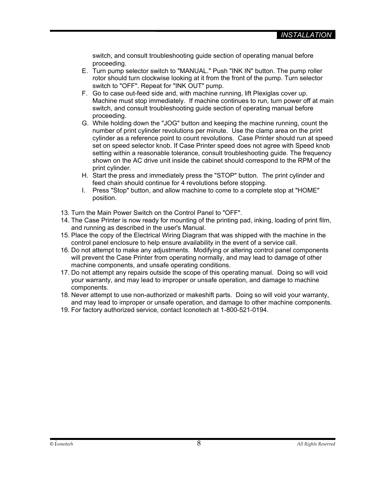switch, and consult troubleshooting guide section of operating manual before proceeding.

- E. Turn pump selector switch to "MANUAL." Push "INK IN" button. The pump roller rotor should turn clockwise looking at it from the front of the pump. Turn selector switch to "OFF". Repeat for "INK OUT" pump.
- F. Go to case out-feed side and, with machine running, lift Plexiglas cover up. Machine must stop immediately. If machine continues to run, turn power off at main switch, and consult troubleshooting guide section of operating manual before proceeding.
- G. While holding down the "JOG" button and keeping the machine running, count the number of print cylinder revolutions per minute. Use the clamp area on the print cylinder as a reference point to count revolutions. Case Printer should run at speed set on speed selector knob. If Case Printer speed does not agree with Speed knob setting within a reasonable tolerance, consult troubleshooting guide. The frequency shown on the AC drive unit inside the cabinet should correspond to the RPM of the print cylinder.
- H. Start the press and immediately press the "STOP" button. The print cylinder and feed chain should continue for 4 revolutions before stopping.
- I. Press "Stop" button, and allow machine to come to a complete stop at "HOME" position.
- 13. Turn the Main Power Switch on the Control Panel to "OFF".
- 14. The Case Printer is now ready for mounting of the printing pad, inking, loading of print film, and running as described in the user's Manual.
- 15. Place the copy of the Electrical Wiring Diagram that was shipped with the machine in the control panel enclosure to help ensure availability in the event of a service call.
- 16. Do not attempt to make any adjustments. Modifying or altering control panel components will prevent the Case Printer from operating normally, and may lead to damage of other machine components, and unsafe operating conditions.
- 17. Do not attempt any repairs outside the scope of this operating manual. Doing so will void your warranty, and may lead to improper or unsafe operation, and damage to machine components.
- 18. Never attempt to use non-authorized or makeshift parts. Doing so will void your warranty, and may lead to improper or unsafe operation, and damage to other machine components.
- 19. For factory authorized service, contact Iconotech at 1-800-521-0194.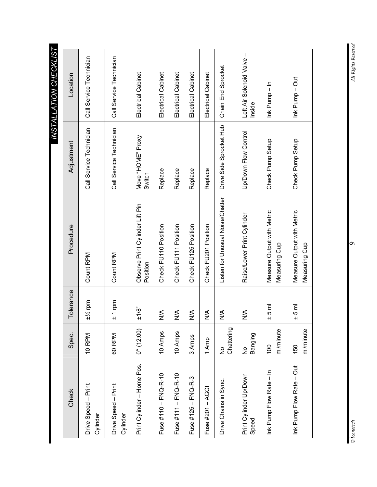*INSTALLATION CHECKLIST INSTALLATION CHECKLIST\_* 

| Check                           | Spec.                       | Tolerance               | Procedure                                   | Adjustment                  | Location                            |
|---------------------------------|-----------------------------|-------------------------|---------------------------------------------|-----------------------------|-------------------------------------|
| Drive Speed - Print<br>Cylinder | 10 RPM                      | $\pm\frac{1}{2}$ rpm    | Count RPM                                   | Call Service Technician     | Call Service Technician             |
| Drive Speed - Print<br>Cylinder | 60 RPM                      | $±1$ rpm                | Count RPM                                   | Call Service Technician     | Call Service Technician             |
| Print Cylinder - Home Pos.      | $0^{\circ}$ (12:00)         | ±1/8"                   | Observe Print Cylinder Lift Pin<br>Position | Move "HOME" Proxy<br>Switch | Electrical Cabinet                  |
| Fuse #110 - FNQ-R-10            | 10 Amps                     | ⋚                       | Check FU110 Position                        | Replace                     | Electrical Cabinet                  |
| Fuse #111 - FNQ-R-10            | 10 Amps                     | $\frac{4}{5}$           | Check FU111 Position                        | Replace                     | Electrical Cabinet                  |
| Fuse #125 - FNQ-R-3             | 3 Amps                      | ⋚                       | Check FU125 Position                        | Replace                     | Electrical Cabinet                  |
| Fuse #201 - AGCI                | 1 Amp                       | $\stackrel{\leq}{\geq}$ | Check FU201 Position                        | Replace                     | Electrical Cabinet                  |
| Drive Chains in Sync.           | Chattering<br>$\frac{1}{2}$ | $\stackrel{\leq}{\geq}$ | Listen for Unusual Noise/Chatter            | Drive Side Sprocket Hub     | Chain End Sprocket                  |
| Print Cylinder Up/Down<br>Speed | Banging<br>$\frac{1}{2}$    | $\stackrel{\leq}{\geq}$ | Raise/Lower Print Cylinder                  | Up/Down Flow Control        | Left Air Solenoid Valve -<br>Inside |
| Ink Pump Flow Rate - In         | ml/minute<br>100            | $±5$ ml                 | Measure Output with Metric<br>Measuring Cup | Check Pump Setup            | Ink Pump - In                       |
| Ink Pump Flow Rate - Out        | ml/minute<br>150            | $±5$ ml                 | Measure Output with Metric<br>Measuring Cup | Check Pump Setup            | Ink Pump - Out                      |

 $\label{thm:all} All~Rights~Reserved$ © *iconotech* 9 *All Rights Reserved*

 $\sigma$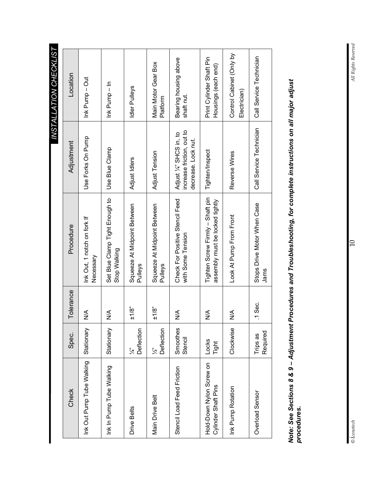**MSTALLATION CHECKLIST** *INSTALLATION CHECKLIST\_* 

| Check                                           | Spec.                         | Tolerance     | Procedure                                                           | Adjustment                                                                  | Location                                        |
|-------------------------------------------------|-------------------------------|---------------|---------------------------------------------------------------------|-----------------------------------------------------------------------------|-------------------------------------------------|
| Ink Out Pump Tube Walking                       | Stationary                    | ⋚             | Ink Out, 1 notch on fork If<br>Necessary                            | Use Forks On Pump                                                           | Ink Pump – Out                                  |
| Ink In Pump Tube Walking                        | Stationary                    | ⋚             | Set Blue Clamp Tight Enough to<br>Stop Walking                      | Use Blue Clamp                                                              | $ln k$ Pump $- ln$                              |
| Drive Belts                                     | Deflection<br>$\tilde{\chi}$  | ±1/8"         | Squeeze At Midpoint Between<br><b>Pulleys</b>                       | Adjust Idlers                                                               | Idler Pulleys                                   |
| Main Drive Belt                                 | Deflection<br>$\tilde{\zeta}$ | ±1/8"         | Squeeze At Midpoint Between<br><b>Pulleys</b>                       | Adjust Tension                                                              | Main Motor Gear Box<br>Platform                 |
| Stencil Load Feed Friction                      | Smoothes<br>Stencil           | ⋚             | Check For Positive Stencil Feed<br>with Some Tension                | increase friction, out to<br>Adjust 1/2" SHCS in, to<br>decrease. Lock nut. | Bearing housing above<br>shaft nut.             |
| Hold-Down Nylon Screw on<br>Cylinder Shaft Pins | Locks<br>Tight                | ⋚             | Tighten Screw Firmly - Shaft pin<br>assembly must be locked tightly | Tighten/Inspect                                                             | Print Cylinder Shaft Pin<br>Housings (each end) |
| Ink Pump Rotation                               | Clockwise                     | $\frac{4}{5}$ | Look At Pump From Front                                             | Reverse Wires                                                               | Control Cabinet (Only by<br>Electrician)        |
| Overload Sensor                                 | Required<br>Trips as          | $.1$ Sec.     | Stops Drive Motor When Case<br>Jams                                 | Call Service Technician                                                     | Call Service Technician                         |

Note: See Sections 8 & 9 – Adjustment Procedures and Troubleshooting, for complete instructions on all major adjust<br>procedures. *Note: See Sections 8 & 9 – Adjustment Procedures and Troubleshooting, for complete instructions on all major adjust procedures.* 

 $\overline{10}$